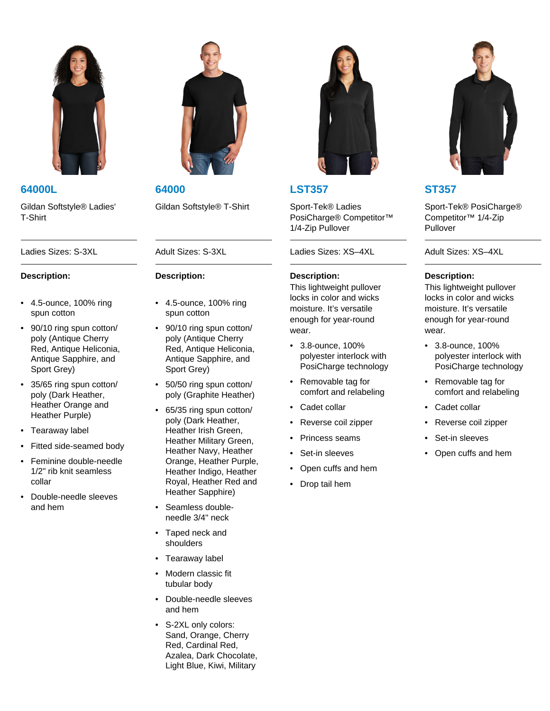

Gildan Softstyle® Ladies' T-Shirt

## **Description:**

- 4.5-ounce, 100% ring spun cotton
- 90/10 ring spun cotton/ poly (Antique Cherry Red, Antique Heliconia, Antique Sapphire, and Sport Grey)
- 35/65 ring spun cotton/ poly (Dark Heather, Heather Orange and Heather Purple)
- Tearaway label
- Fitted side-seamed body
- Feminine double-needle 1/2" rib knit seamless collar
- Double-needle sleeves and hem



**64000L 64000 LST357 ST357**

## **Description:**

- 4.5-ounce, 100% ring spun cotton
- 90/10 ring spun cotton/ poly (Antique Cherry Red, Antique Heliconia, Antique Sapphire, and Sport Grey)
- 50/50 ring spun cotton/ poly (Graphite Heather)
- 65/35 ring spun cotton/ poly (Dark Heather, Heather Irish Green, Heather Military Green, Heather Navy, Heather Orange, Heather Purple, Heather Indigo, Heather Royal, Heather Red and Heather Sapphire)
- Seamless doubleneedle 3/4" neck
- Taped neck and shoulders
- Tearaway label
- Modern classic fit tubular body
- Double-needle sleeves and hem
- S-2XL only colors: Sand, Orange, Cherry Red, Cardinal Red, Azalea, Dark Chocolate, Light Blue, Kiwi, Military



Gildan Softstyle® T-Shirt Sport-Tek® Ladies PosiCharge® Competitor™ 1/4-Zip Pullover

Ladies Sizes: S-3XL Adult Sizes: S-3XL Ladies Sizes: XS–4XL Adult Sizes: XS–4XL

## **Description:**

This lightweight pullover locks in color and wicks moisture. It's versatile enough for year-round wear.

- 3.8-ounce, 100% polyester interlock with PosiCharge technology
- Removable tag for comfort and relabeling
- Cadet collar
- Reverse coil zipper
- Princess seams
- Set-in sleeves
- Open cuffs and hem
- Drop tail hem



Sport-Tek® PosiCharge® Competitor™ 1/4-Zip Pullover

## **Description:**

This lightweight pullover locks in color and wicks moisture. It's versatile enough for year-round wear.

- 3.8-ounce, 100% polyester interlock with PosiCharge technology
- Removable tag for comfort and relabeling
- Cadet collar
- Reverse coil zipper
- Set-in sleeves
- Open cuffs and hem